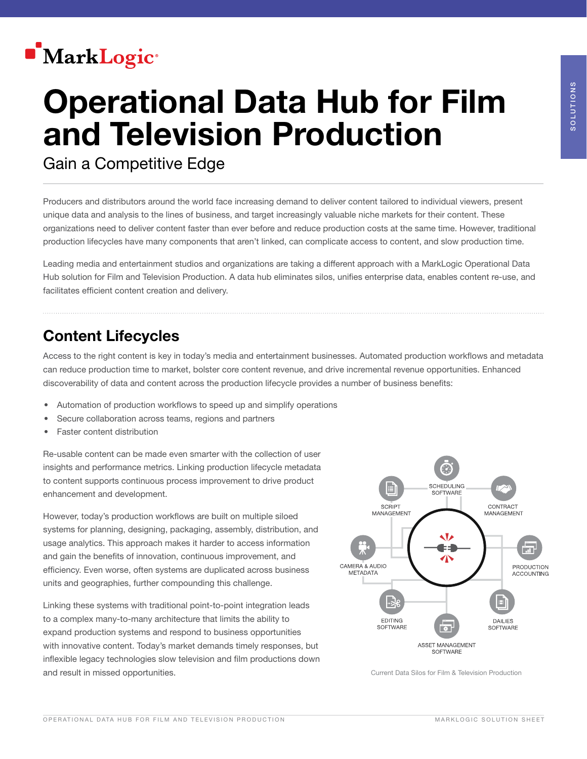

# Operational Data Hub for Film and Television Production

Gain a Competitive Edge

Producers and distributors around the world face increasing demand to deliver content tailored to individual viewers, present unique data and analysis to the lines of business, and target increasingly valuable niche markets for their content. These organizations need to deliver content faster than ever before and reduce production costs at the same time. However, traditional production lifecycles have many components that aren't linked, can complicate access to content, and slow production time.

Leading media and entertainment studios and organizations are taking a different approach with a MarkLogic Operational Data Hub solution for Film and Television Production. A data hub eliminates silos, unifies enterprise data, enables content re-use, and facilitates efficient content creation and delivery.

### Content Lifecycles

Access to the right content is key in today's media and entertainment businesses. Automated production workflows and metadata can reduce production time to market, bolster core content revenue, and drive incremental revenue opportunities. Enhanced discoverability of data and content across the production lifecycle provides a number of business benefits:

- Automation of production workflows to speed up and simplify operations
- Secure collaboration across teams, regions and partners
- Faster content distribution

Re-usable content can be made even smarter with the collection of user insights and performance metrics. Linking production lifecycle metadata to content supports continuous process improvement to drive product enhancement and development.

However, today's production workflows are built on multiple siloed systems for planning, designing, packaging, assembly, distribution, and usage analytics. This approach makes it harder to access information and gain the benefits of innovation, continuous improvement, and efficiency. Even worse, often systems are duplicated across business units and geographies, further compounding this challenge.

Linking these systems with traditional point-to-point integration leads to a complex many-to-many architecture that limits the ability to expand production systems and respond to business opportunities with innovative content. Today's market demands timely responses, but inflexible legacy technologies slow television and film productions down and result in missed opportunities. The contract of the current Data Silos for Film & Television Production